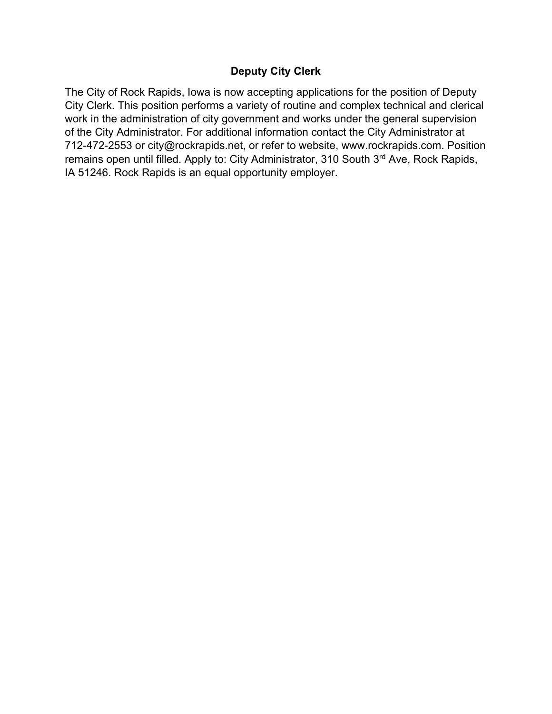# **Deputy City Clerk**

The City of Rock Rapids, Iowa is now accepting applications for the position of Deputy City Clerk. This position performs a variety of routine and complex technical and clerical work in the administration of city government and works under the general supervision of the City Administrator. For additional information contact the City Administrator at 712-472-2553 or city@rockrapids.net, or refer to website, www.rockrapids.com. Position remains open until filled. Apply to: City Administrator, 310 South 3<sup>rd</sup> Ave, Rock Rapids, IA 51246. Rock Rapids is an equal opportunity employer.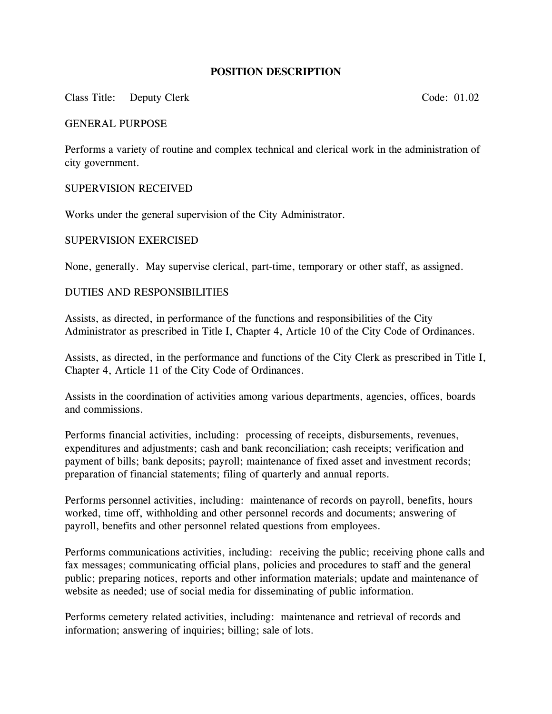## **POSITION DESCRIPTION**

### Class Title: Deputy Clerk Code: 01.02

#### GENERAL PURPOSE

Performs a variety of routine and complex technical and clerical work in the administration of city government.

#### SUPERVISION RECEIVED

Works under the general supervision of the City Administrator.

#### SUPERVISION EXERCISED

None, generally. May supervise clerical, part-time, temporary or other staff, as assigned.

#### DUTIES AND RESPONSIBILITIES

Assists, as directed, in performance of the functions and responsibilities of the City Administrator as prescribed in Title I, Chapter 4, Article 10 of the City Code of Ordinances.

Assists, as directed, in the performance and functions of the City Clerk as prescribed in Title I, Chapter 4, Article 11 of the City Code of Ordinances.

Assists in the coordination of activities among various departments, agencies, offices, boards and commissions.

Performs financial activities, including: processing of receipts, disbursements, revenues, expenditures and adjustments; cash and bank reconciliation; cash receipts; verification and payment of bills; bank deposits; payroll; maintenance of fixed asset and investment records; preparation of financial statements; filing of quarterly and annual reports.

Performs personnel activities, including: maintenance of records on payroll, benefits, hours worked, time off, withholding and other personnel records and documents; answering of payroll, benefits and other personnel related questions from employees.

Performs communications activities, including: receiving the public; receiving phone calls and fax messages; communicating official plans, policies and procedures to staff and the general public; preparing notices, reports and other information materials; update and maintenance of website as needed; use of social media for disseminating of public information.

Performs cemetery related activities, including: maintenance and retrieval of records and information; answering of inquiries; billing; sale of lots.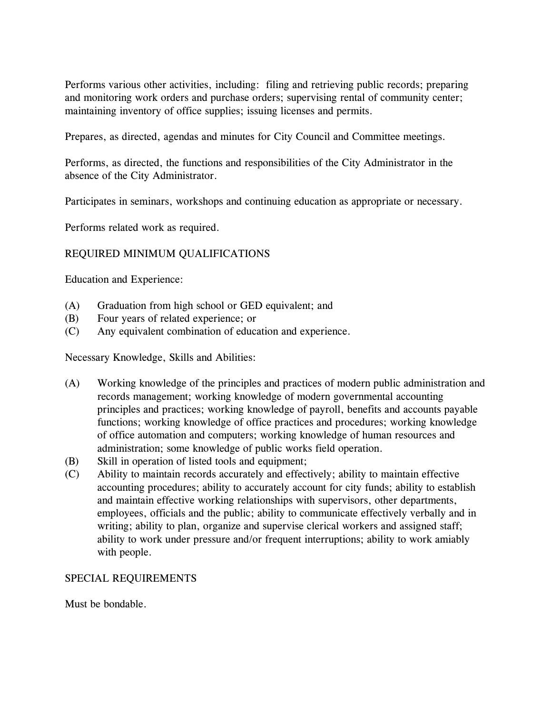Performs various other activities, including: filing and retrieving public records; preparing and monitoring work orders and purchase orders; supervising rental of community center; maintaining inventory of office supplies; issuing licenses and permits.

Prepares, as directed, agendas and minutes for City Council and Committee meetings.

Performs, as directed, the functions and responsibilities of the City Administrator in the absence of the City Administrator.

Participates in seminars, workshops and continuing education as appropriate or necessary.

Performs related work as required.

# REQUIRED MINIMUM QUALIFICATIONS

Education and Experience:

- (A) Graduation from high school or GED equivalent; and
- (B) Four years of related experience; or
- (C) Any equivalent combination of education and experience.

Necessary Knowledge, Skills and Abilities:

- (A) Working knowledge of the principles and practices of modern public administration and records management; working knowledge of modern governmental accounting principles and practices; working knowledge of payroll, benefits and accounts payable functions; working knowledge of office practices and procedures; working knowledge of office automation and computers; working knowledge of human resources and administration; some knowledge of public works field operation.
- (B) Skill in operation of listed tools and equipment;
- (C) Ability to maintain records accurately and effectively; ability to maintain effective accounting procedures; ability to accurately account for city funds; ability to establish and maintain effective working relationships with supervisors, other departments, employees, officials and the public; ability to communicate effectively verbally and in writing; ability to plan, organize and supervise clerical workers and assigned staff; ability to work under pressure and/or frequent interruptions; ability to work amiably with people.

# SPECIAL REQUIREMENTS

Must be bondable.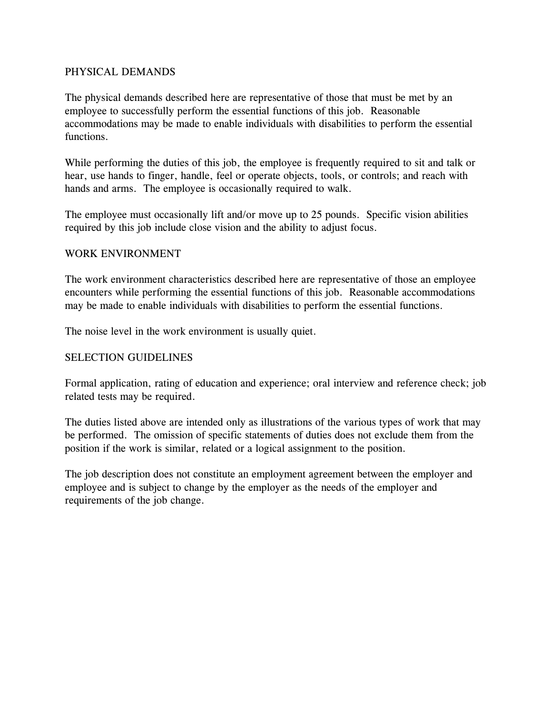## PHYSICAL DEMANDS

The physical demands described here are representative of those that must be met by an employee to successfully perform the essential functions of this job. Reasonable accommodations may be made to enable individuals with disabilities to perform the essential functions.

While performing the duties of this job, the employee is frequently required to sit and talk or hear, use hands to finger, handle, feel or operate objects, tools, or controls; and reach with hands and arms. The employee is occasionally required to walk.

The employee must occasionally lift and/or move up to 25 pounds. Specific vision abilities required by this job include close vision and the ability to adjust focus.

### WORK ENVIRONMENT

The work environment characteristics described here are representative of those an employee encounters while performing the essential functions of this job. Reasonable accommodations may be made to enable individuals with disabilities to perform the essential functions.

The noise level in the work environment is usually quiet.

# SELECTION GUIDELINES

Formal application, rating of education and experience; oral interview and reference check; job related tests may be required.

The duties listed above are intended only as illustrations of the various types of work that may be performed. The omission of specific statements of duties does not exclude them from the position if the work is similar, related or a logical assignment to the position.

The job description does not constitute an employment agreement between the employer and employee and is subject to change by the employer as the needs of the employer and requirements of the job change.